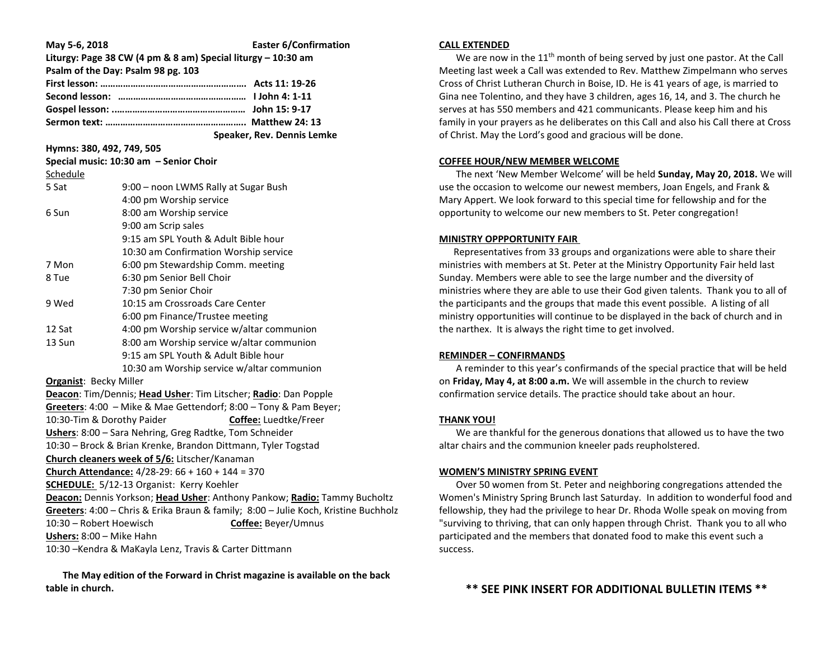| May 5-6, 2018                                                                       | Liturgy: Page 38 CW (4 pm & 8 am) Special liturgy - 10:30 am<br>Psalm of the Day: Psalm 98 pg. 103 | <b>Easter 6/Confirmation</b>                                              |  |  |
|-------------------------------------------------------------------------------------|----------------------------------------------------------------------------------------------------|---------------------------------------------------------------------------|--|--|
|                                                                                     |                                                                                                    |                                                                           |  |  |
| Hymns: 380, 492, 749, 505                                                           |                                                                                                    | Speaker, Rev. Dennis Lemke                                                |  |  |
|                                                                                     | Special music: 10:30 am - Senior Choir                                                             |                                                                           |  |  |
| Schedule                                                                            |                                                                                                    |                                                                           |  |  |
| 5 Sat                                                                               | 9:00 - noon LWMS Rally at Sugar Bush                                                               |                                                                           |  |  |
|                                                                                     | 4:00 pm Worship service                                                                            |                                                                           |  |  |
| 6 Sun                                                                               | 8:00 am Worship service                                                                            |                                                                           |  |  |
|                                                                                     | 9:00 am Scrip sales                                                                                |                                                                           |  |  |
|                                                                                     | 9:15 am SPL Youth & Adult Bible hour                                                               |                                                                           |  |  |
|                                                                                     | 10:30 am Confirmation Worship service                                                              |                                                                           |  |  |
| 7 Mon                                                                               | 6:00 pm Stewardship Comm. meeting                                                                  |                                                                           |  |  |
| 8 Tue                                                                               | 6:30 pm Senior Bell Choir                                                                          |                                                                           |  |  |
|                                                                                     | 7:30 pm Senior Choir                                                                               |                                                                           |  |  |
| 9 Wed                                                                               | 10:15 am Crossroads Care Center                                                                    |                                                                           |  |  |
|                                                                                     | 6:00 pm Finance/Trustee meeting                                                                    |                                                                           |  |  |
| 12 Sat                                                                              | 4:00 pm Worship service w/altar communion                                                          |                                                                           |  |  |
| 13 Sun                                                                              | 8:00 am Worship service w/altar communion                                                          |                                                                           |  |  |
|                                                                                     | 9:15 am SPL Youth & Adult Bible hour                                                               |                                                                           |  |  |
|                                                                                     | 10:30 am Worship service w/altar communion                                                         |                                                                           |  |  |
| <b>Organist: Becky Miller</b>                                                       |                                                                                                    |                                                                           |  |  |
| Deacon: Tim/Dennis; Head Usher: Tim Litscher; Radio: Dan Popple                     |                                                                                                    |                                                                           |  |  |
| Greeters: 4:00 - Mike & Mae Gettendorf; 8:00 - Tony & Pam Beyer;                    |                                                                                                    |                                                                           |  |  |
| 10:30-Tim & Dorothy Paider<br>Coffee: Luedtke/Freer                                 |                                                                                                    |                                                                           |  |  |
|                                                                                     | Ushers: 8:00 - Sara Nehring, Greg Radtke, Tom Schneider                                            |                                                                           |  |  |
|                                                                                     | 10:30 - Brock & Brian Krenke, Brandon Dittmann, Tyler Togstad                                      |                                                                           |  |  |
|                                                                                     | Church cleaners week of 5/6: Litscher/Kanaman                                                      |                                                                           |  |  |
|                                                                                     | Church Attendance: $4/28-29$ : $66 + 160 + 144 = 370$                                              |                                                                           |  |  |
|                                                                                     | <b>SCHEDULE:</b> 5/12-13 Organist: Kerry Koehler                                                   |                                                                           |  |  |
|                                                                                     |                                                                                                    | Deacon: Dennis Yorkson; Head Usher: Anthony Pankow; Radio: Tammy Bucholtz |  |  |
| Greeters: 4:00 - Chris & Erika Braun & family; 8:00 - Julie Koch, Kristine Buchholz |                                                                                                    |                                                                           |  |  |
| Coffee: Beyer/Umnus<br>10:30 - Robert Hoewisch                                      |                                                                                                    |                                                                           |  |  |
| Ushers: 8:00 - Mike Hahn<br>10:30 - Kendra & MaKayla Lenz, Travis & Carter Dittmann |                                                                                                    |                                                                           |  |  |
|                                                                                     |                                                                                                    |                                                                           |  |  |

 **The May edition of the Forward in Christ magazine is available on the back table in church.** 

## **CALL EXTENDED**

We are now in the  $11<sup>th</sup>$  month of being served by just one pastor. At the Call Meeting last week a Call was extended to Rev. Matthew Zimpelmann who serves Cross of Christ Lutheran Church in Boise, ID. He is 41 years of age, is married to Gina nee Tolentino, and they have 3 children, ages 16, 14, and 3. The church he serves at has 550 members and 421 communicants. Please keep him and his family in your prayers as he deliberates on this Call and also his Call there at Cross of Christ. May the Lord's good and gracious will be done.

### **COFFEE HOUR/NEW MEMBER WELCOME**

 The next 'New Member Welcome' will be held **Sunday, May 20, 2018.** We will use the occasion to welcome our newest members, Joan Engels, and Frank & Mary Appert. We look forward to this special time for fellowship and for the opportunity to welcome our new members to St. Peter congregation!

## **MINISTRY OPPPORTUNITY FAIR**

Representatives from 33 groups and organizations were able to share their ministries with members at St. Peter at the Ministry Opportunity Fair held last Sunday. Members were able to see the large number and the diversity of ministries where they are able to use their God given talents. Thank you to all of the participants and the groups that made this event possible. A listing of all ministry opportunities will continue to be displayed in the back of church and in the narthex. It is always the right time to get involved.

## **REMINDER – CONFIRMANDS**

 A reminder to this year's confirmands of the special practice that will be held on **Friday, May 4, at 8:00 a.m.** We will assemble in the church to review confirmation service details. The practice should take about an hour.

### **THANK YOU!**

 We are thankful for the generous donations that allowed us to have the two altar chairs and the communion kneeler pads reupholstered.

#### **WOMEN'S MINISTRY SPRING EVENT**

 Over 50 women from St. Peter and neighboring congregations attended the Women's Ministry Spring Brunch last Saturday. In addition to wonderful food and fellowship, they had the privilege to hear Dr. Rhoda Wolle speak on moving from "surviving to thriving, that can only happen through Christ. Thank you to all who participated and the members that donated food to make this event such a success.

# **\*\* SEE PINK INSERT FOR ADDITIONAL BULLETIN ITEMS \*\***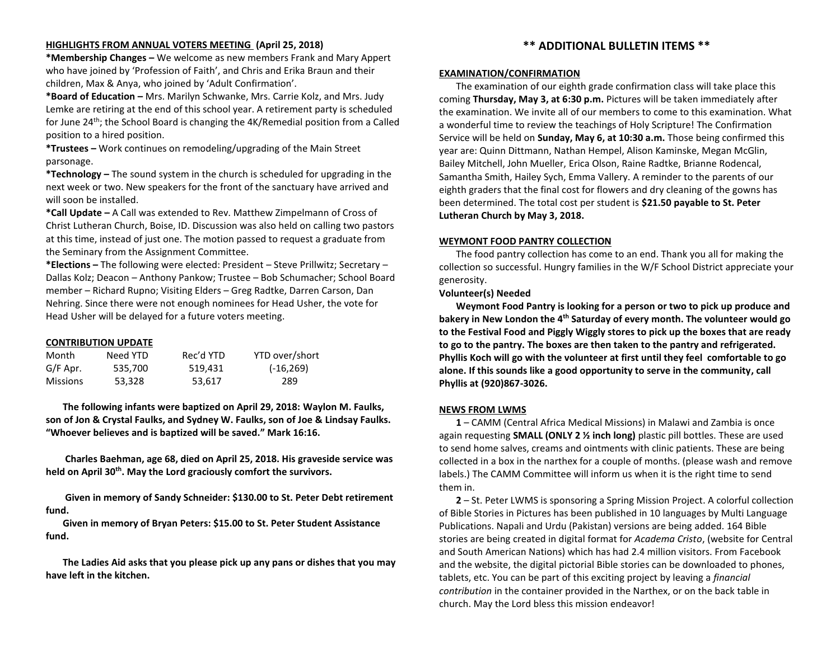# **HIGHLIGHTS FROM ANNUAL VOTERS MEETING (April 25, 2018)**

**\*Membership Changes –** We welcome as new members Frank and Mary Appert who have joined by 'Profession of Faith', and Chris and Erika Braun and their children, Max & Anya, who joined by 'Adult Confirmation'.

**\*Board of Education –** Mrs. Marilyn Schwanke, Mrs. Carrie Kolz, and Mrs. Judy Lemke are retiring at the end of this school year. A retirement party is scheduled for June 24th; the School Board is changing the 4K/Remedial position from a Called position to a hired position.

**\*Trustees –** Work continues on remodeling/upgrading of the Main Street parsonage.

**\*Technology –** The sound system in the church is scheduled for upgrading in the next week or two. New speakers for the front of the sanctuary have arrived and will soon be installed.

**\*Call Update –** A Call was extended to Rev. Matthew Zimpelmann of Cross of Christ Lutheran Church, Boise, ID. Discussion was also held on calling two pastors at this time, instead of just one. The motion passed to request a graduate from the Seminary from the Assignment Committee.

**\*Elections –** The following were elected: President – Steve Prillwitz; Secretary – Dallas Kolz; Deacon – Anthony Pankow; Trustee – Bob Schumacher; School Board member – Richard Rupno; Visiting Elders – Greg Radtke, Darren Carson, Dan Nehring. Since there were not enough nominees for Head Usher, the vote for Head Usher will be delayed for a future voters meeting.

# **CONTRIBUTION UPDATE**

| Month           | Need YTD | Rec'd YTD | YTD over/short |
|-----------------|----------|-----------|----------------|
| G/F Apr.        | 535.700  | 519.431   | $(-16, 269)$   |
| <b>Missions</b> | 53,328   | 53.617    | 289            |

 **The following infants were baptized on April 29, 2018: Waylon M. Faulks, son of Jon & Crystal Faulks, and Sydney W. Faulks, son of Joe & Lindsay Faulks. "Whoever believes and is baptized will be saved." Mark 16:16.**

 **Charles Baehman, age 68, died on April 25, 2018. His graveside service was held on April 30th. May the Lord graciously comfort the survivors.**

 **Given in memory of Sandy Schneider: \$130.00 to St. Peter Debt retirement fund.**

 **Given in memory of Bryan Peters: \$15.00 to St. Peter Student Assistance fund.**

 **The Ladies Aid asks that you please pick up any pans or dishes that you may have left in the kitchen.** 

# **\*\* ADDITIONAL BULLETIN ITEMS \*\***

### **EXAMINATION/CONFIRMATION**

 The examination of our eighth grade confirmation class will take place this coming **Thursday, May 3, at 6:30 p.m.** Pictures will be taken immediately after the examination. We invite all of our members to come to this examination. What a wonderful time to review the teachings of Holy Scripture! The Confirmation Service will be held on **Sunday, May 6, at 10:30 a.m.** Those being confirmed this year are: Quinn Dittmann, Nathan Hempel, Alison Kaminske, Megan McGlin, Bailey Mitchell, John Mueller, Erica Olson, Raine Radtke, Brianne Rodencal, Samantha Smith, Hailey Sych, Emma Vallery. A reminder to the parents of our eighth graders that the final cost for flowers and dry cleaning of the gowns has been determined. The total cost per student is **\$21.50 payable to St. Peter Lutheran Church by May 3, 2018.**

# **WEYMONT FOOD PANTRY COLLECTION**

 The food pantry collection has come to an end. Thank you all for making the collection so successful. Hungry families in the W/F School District appreciate your generosity.

# **Volunteer(s) Needed**

 **Weymont Food Pantry is looking for a person or two to pick up produce and bakery in New London the 4th Saturday of every month. The volunteer would go to the Festival Food and Piggly Wiggly stores to pick up the boxes that are ready to go to the pantry. The boxes are then taken to the pantry and refrigerated. Phyllis Koch will go with the volunteer at first until they feel comfortable to go alone. If this sounds like a good opportunity to serve in the community, call Phyllis at (920)867-3026.**

# **NEWS FROM LWMS**

 **1** – CAMM (Central Africa Medical Missions) in Malawi and Zambia is once again requesting **SMALL (ONLY 2 ½ inch long)** plastic pill bottles. These are used to send home salves, creams and ointments with clinic patients. These are being collected in a box in the narthex for a couple of months. (please wash and remove labels.) The CAMM Committee will inform us when it is the right time to send them in.

 **2** – St. Peter LWMS is sponsoring a Spring Mission Project. A colorful collection of Bible Stories in Pictures has been published in 10 languages by Multi Language Publications. Napali and Urdu (Pakistan) versions are being added. 164 Bible stories are being created in digital format for *Academa Cristo*, (website for Central and South American Nations) which has had 2.4 million visitors. From Facebook and the website, the digital pictorial Bible stories can be downloaded to phones, tablets, etc. You can be part of this exciting project by leaving a *financial contribution* in the container provided in the Narthex, or on the back table in church. May the Lord bless this mission endeavor!